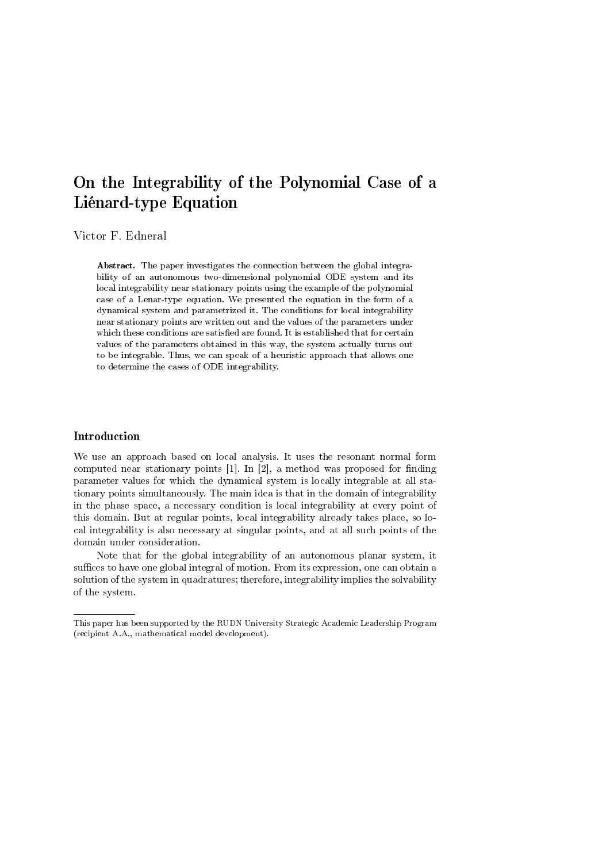# On the Integrability of the Polynomial Case of a Liénard-type Equation

Victor F. Edneral

Abstract. The paper investigates the connection between the global integrability of an autonomous two-dimensional polynomial ODE system and its local integrability near stationary points using the example of the polynomial case of a Lenar-type equation. We presented the equation in the form of a dynamical system and parametrized it. The conditions for local integrability near stationary points are written out and the values of the parameters under which these conditions are satisfied are found. It is established that for certain values of the parameters obtained in this way, the system actually turns out to be integrable. Thus, we can speak of a heuristic approach that allows one to determine the cases of ODE integrability.

# Introduction

We use an approach based on local analysis. It uses the resonant normal form computed near stationary points  $[1]$ . In  $[2]$ , a method was proposed for finding parameter values for which the dynamical system is locally integrable at all stationary points simultaneously. The main idea is that in the domain of integrability in the phase space, a necessary condition is local integrability at every point of this domain. But at regular points, local integrability already takes place, so local integrability is also necessary at singular points, and at all such points of the domain under consideration.

Note that for the global integrability of an autonomous planar system, it suffices to have one global integral of motion. From its expression, one can obtain a solution of the system in quadratures; therefore, integrability implies the solvability of the system.

This paper has been supported by the RUDN University Strategic Academic Leadership Program (recipient A.A., mathematical model development).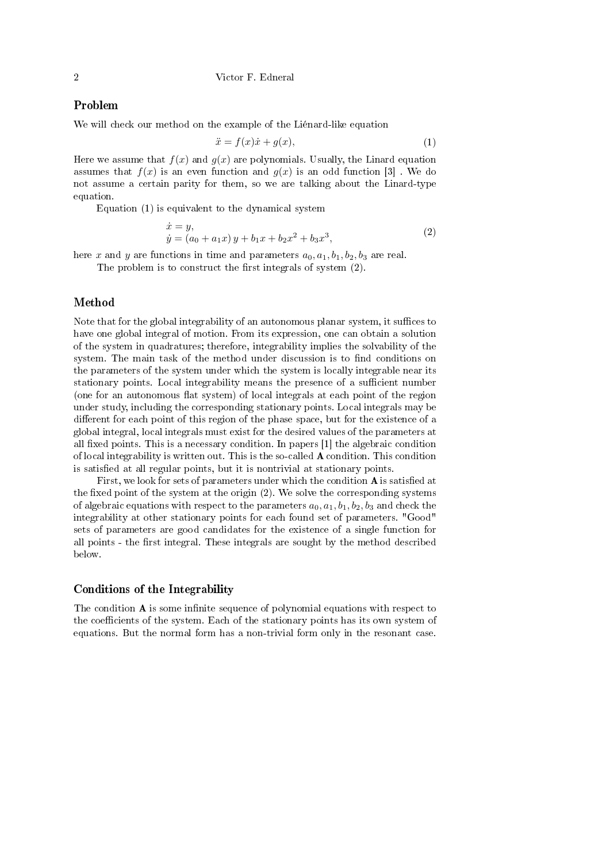# Problem

We will check our method on the example of the Liénard-like equation

$$
\ddot{x} = f(x)\dot{x} + g(x),\tag{1}
$$

Here we assume that  $f(x)$  and  $g(x)$  are polynomials. Usually, the Linard equation assumes that  $f(x)$  is an even function and  $g(x)$  is an odd function [3]. We do not assume a certain parity for them, so we are talking about the Linard-type equation.

Equation (1) is equivalent to the dynamical system

$$
\begin{aligned} \dot{x} &= y, \\ \dot{y} &= (a_0 + a_1 x) \, y + b_1 x + b_2 x^2 + b_3 x^3, \end{aligned} \tag{2}
$$

here x and y are functions in time and parameters  $a_0, a_1, b_1, b_2, b_3$  are real.

The problem is to construct the first integrals of system  $(2)$ .

#### Method

Note that for the global integrability of an autonomous planar system, it suffices to have one global integral of motion. From its expression, one can obtain a solution of the system in quadratures; therefore, integrability implies the solvability of the system. The main task of the method under discussion is to find conditions on the parameters of the system under which the system is locally integrable near its stationary points. Local integrability means the presence of a sufficient number (one for an autonomous flat system) of local integrals at each point of the region under study, including the corresponding stationary points. Local integrals may be different for each point of this region of the phase space, but for the existence of a global integral, local integrals must exist for the desired values of the parameters at all fixed points. This is a necessary condition. In papers  $[1]$  the algebraic condition of local integrability is written out. This is the so-called A condition. This condition is satisfied at all regular points, but it is nontrivial at stationary points.

First, we look for sets of parameters under which the condition  $A$  is satisfied at the fixed point of the system at the origin  $(2)$ . We solve the corresponding systems of algebraic equations with respect to the parameters  $a_0, a_1, b_1, b_2, b_3$  and check the integrability at other stationary points for each found set of parameters. "Good" sets of parameters are good candidates for the existence of a single function for all points - the first integral. These integrals are sought by the method described below.

### Conditions of the Integrability

The condition  $\bf{A}$  is some infinite sequence of polynomial equations with respect to the coefficients of the system. Each of the stationary points has its own system of equations. But the normal form has a non-trivial form only in the resonant case.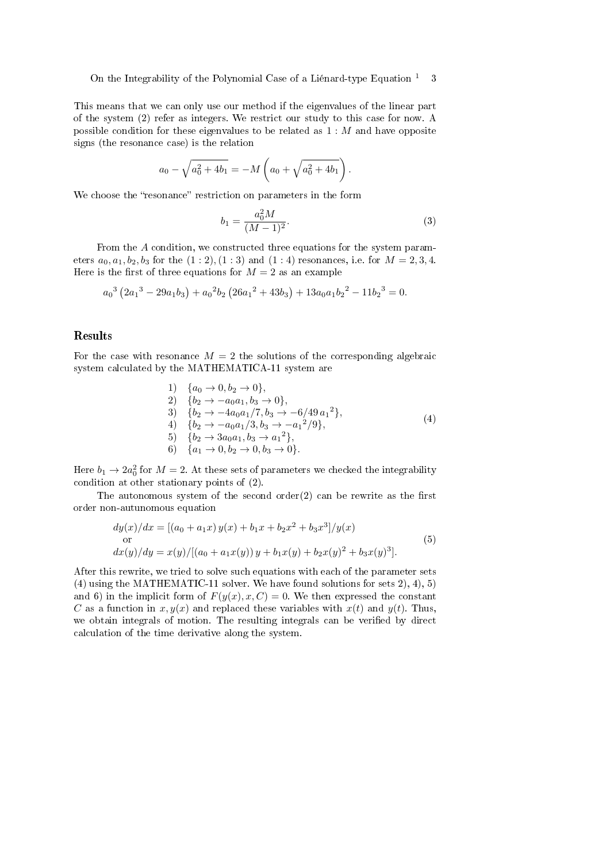On the Integrability of the Polynomial Case of a Liénard-type Equation  $1 \quad 3$ 

This means that we can only use our method if the eigenvalues of the linear part of the system (2) refer as integers. We restrict our study to this case for now. A possible condition for these eigenvalues to be related as  $1 : M$  and have opposite signs (the resonance case) is the relation

$$
a_0 - \sqrt{a_0^2 + 4b_1} = -M\left(a_0 + \sqrt{a_0^2 + 4b_1}\right).
$$

We choose the "resonance" restriction on parameters in the form

$$
b_1 = \frac{a_0^2 M}{(M-1)^2}.
$$
\n(3)

From the A condition, we constructed three equations for the system parameters  $a_0, a_1, b_2, b_3$  for the  $(1 : 2), (1 : 3)$  and  $(1 : 4)$  resonances, i.e. for  $M = 2, 3, 4$ . Here is the first of three equations for  $M = 2$  as an example

$$
a_0^3\left(2a_1^3 - 29a_1b_3\right) + a_0^2b_2\left(26a_1^2 + 43b_3\right) + 13a_0a_1b_2^2 - 11b_2^3 = 0.
$$

#### Results

For the case with resonance  $M = 2$  the solutions of the corresponding algebraic system calculated by the MATHEMATICA-11 system are

1) 
$$
\{a_0 \to 0, b_2 \to 0\},
$$
  
\n2)  $\{b_2 \to -a_0 a_1, b_3 \to 0\},$   
\n3)  $\{b_2 \to -4a_0 a_1/7, b_3 \to -6/49 a_1^2\},$   
\n4)  $\{b_2 \to -a_0 a_1/3, b_3 \to -a_1^2/9\},$   
\n5)  $\{b_2 \to 3a_0 a_1, b_3 \to a_1^2\},$   
\n6)  $\{a_1 \to 0, b_2 \to 0, b_3 \to 0\}.$  (4)

Here  $b_1 \rightarrow 2a_0^2$  for  $M = 2$ . At these sets of parameters we checked the integrability condition at other stationary points of (2).

The autonomous system of the second order $(2)$  can be rewrite as the first order non-autunomous equation

$$
dy(x)/dx = [(a_0 + a_1x) y(x) + b_1x + b_2x^2 + b_3x^3]/y(x)
$$
  
or  

$$
dx(y)/dy = x(y)/[(a_0 + a_1x(y)) y + b_1x(y) + b_2x(y)^2 + b_3x(y)^3].
$$
 (5)

After this rewrite, we tried to solve such equations with each of the parameter sets (4) using the MATHEMATIC-11 solver. We have found solutions for sets 2), 4), 5) and 6) in the implicit form of  $F(y(x), x, C) = 0$ . We then expressed the constant C as a function in  $x, y(x)$  and replaced these variables with  $x(t)$  and  $y(t)$ . Thus, we obtain integrals of motion. The resulting integrals can be verified by direct calculation of the time derivative along the system.